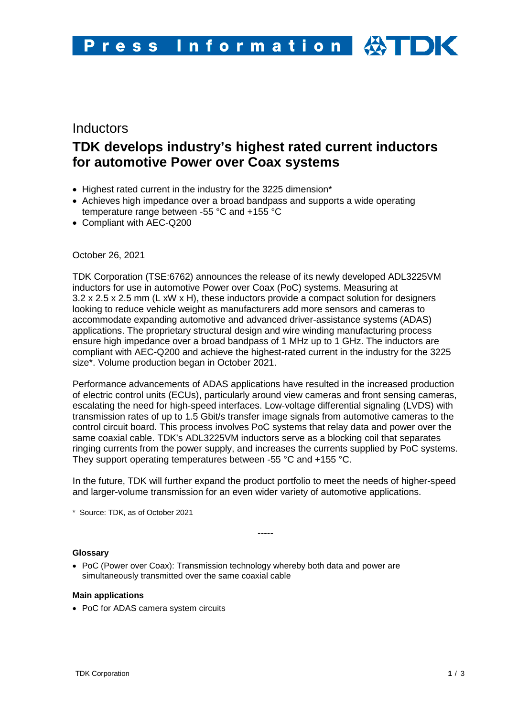# **Inductors TDK develops industry's highest rated current inductors for automotive Power over Coax systems**

- Highest rated current in the industry for the 3225 dimension\*
- Achieves high impedance over a broad bandpass and supports a wide operating temperature range between -55 °C and +155 °C
- Compliant with AEC-Q200

October 26, 2021

TDK Corporation (TSE:6762) announces the release of its newly developed ADL3225VM inductors for use in automotive Power over Coax (PoC) systems. Measuring at 3.2 x 2.5 x 2.5 mm (L xW x H), these inductors provide a compact solution for designers looking to reduce vehicle weight as manufacturers add more sensors and cameras to accommodate expanding automotive and advanced driver-assistance systems (ADAS) applications. The proprietary structural design and wire winding manufacturing process ensure high impedance over a broad bandpass of 1 MHz up to 1 GHz. The inductors are compliant with AEC-Q200 and achieve the highest-rated current in the industry for the 3225 size\*. Volume production began in October 2021.

Performance advancements of ADAS applications have resulted in the increased production of electric control units (ECUs), particularly around view cameras and front sensing cameras, escalating the need for high-speed interfaces. Low-voltage differential signaling (LVDS) with transmission rates of up to 1.5 Gbit/s transfer image signals from automotive cameras to the control circuit board. This process involves PoC systems that relay data and power over the same coaxial cable. TDK's ADL3225VM inductors serve as a blocking coil that separates ringing currents from the power supply, and increases the currents supplied by PoC systems. They support operating temperatures between -55 °C and +155 °C.

In the future, TDK will further expand the product portfolio to meet the needs of higher-speed and larger-volume transmission for an even wider variety of automotive applications.

\* Source: TDK, as of October 2021

-----

## **Glossary**

• PoC (Power over Coax): Transmission technology whereby both data and power are simultaneously transmitted over the same coaxial cable

## **Main applications**

• PoC for ADAS camera system circuits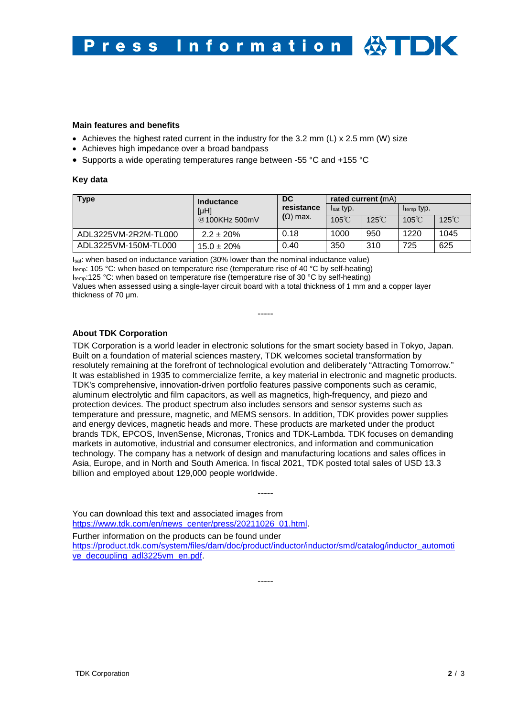#### **Main features and benefits**

- Achieves the highest rated current in the industry for the 3.2 mm  $(L) \times 2.5$  mm  $(W)$  size
- Achieves high impedance over a broad bandpass
- Supports a wide operating temperatures range between -55 °C and +155 °C

#### **Key data**

| <b>Type</b>          | Inductance<br>[µH]<br>@100KHz 500mV | <b>DC</b><br>resistance<br>$(\Omega)$ max. | rated current (mA) |                 |                        |                 |
|----------------------|-------------------------------------|--------------------------------------------|--------------------|-----------------|------------------------|-----------------|
|                      |                                     |                                            | Isat typ.          |                 | I <sub>temp</sub> typ. |                 |
|                      |                                     |                                            | $105^{\circ}$ C    | $125^{\circ}$ C | $105^{\circ}$ C        | $125^{\circ}$ C |
| ADL3225VM-2R2M-TL000 | $2.2 \pm 20\%$                      | 0.18                                       | 1000               | 950             | 1220                   | 1045            |
| ADL3225VM-150M-TL000 | $15.0 \pm 20\%$                     | 0.40                                       | 350                | 310             | 725                    | 625             |

Isat: when based on inductance variation (30% lower than the nominal inductance value) Itemp: 105 °C: when based on temperature rise (temperature rise of 40 °C by self-heating) Itemp:125 °C: when based on temperature rise (temperature rise of 30 °C by self-heating) Values when assessed using a single-layer circuit board with a total thickness of 1 mm and a copper layer thickness of 70 μm.

-----

### **About TDK Corporation**

TDK Corporation is a world leader in electronic solutions for the smart society based in Tokyo, Japan. Built on a foundation of material sciences mastery, TDK welcomes societal transformation by resolutely remaining at the forefront of technological evolution and deliberately "Attracting Tomorrow." It was established in 1935 to commercialize ferrite, a key material in electronic and magnetic products. TDK's comprehensive, innovation-driven portfolio features passive components such as ceramic, aluminum electrolytic and film capacitors, as well as magnetics, high-frequency, and piezo and protection devices. The product spectrum also includes sensors and sensor systems such as temperature and pressure, magnetic, and MEMS sensors. In addition, TDK provides power supplies and energy devices, magnetic heads and more. These products are marketed under the product brands TDK, EPCOS, InvenSense, Micronas, Tronics and TDK-Lambda. TDK focuses on demanding markets in automotive, industrial and consumer electronics, and information and communication technology. The company has a network of design and manufacturing locations and sales offices in Asia, Europe, and in North and South America. In fiscal 2021, TDK posted total sales of USD 13.3 billion and employed about 129,000 people worldwide.

You can download this text and associated images from [https://www.tdk.com/en/news\\_center/press/20211026\\_01.html.](https://www.tdk.com/en/news_center/press/20211026_01.html) Further information on the products can be found under [https://product.tdk.com/system/files/dam/doc/product/inductor/inductor/smd/catalog/inductor\\_automoti](https://product.tdk.com/system/files/dam/doc/product/inductor/inductor/smd/catalog/inductor_automotive_decoupling_adl3225vm_en.pdf) [ve\\_decoupling\\_adl3225vm\\_en.pdf.](https://product.tdk.com/system/files/dam/doc/product/inductor/inductor/smd/catalog/inductor_automotive_decoupling_adl3225vm_en.pdf)

-----

-----